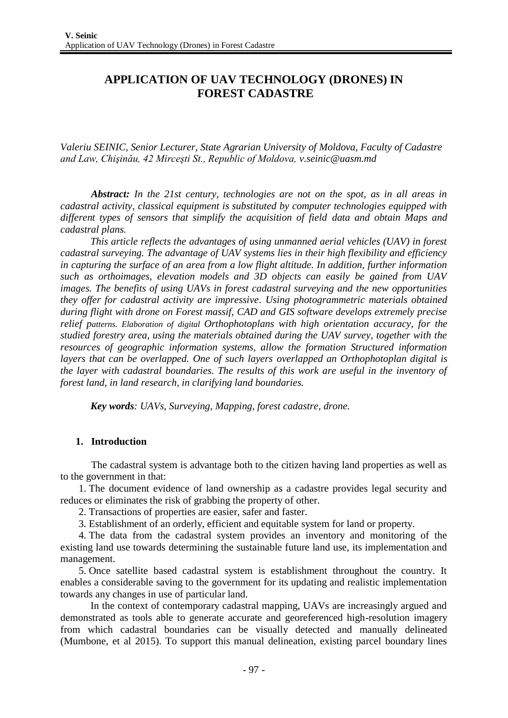# **APPLICATION OF UAV TECHNOLOGY (DRONES) IN FOREST CADASTRE**

*Valeriu SEINIC, Senior Lecturer, State Agrarian University of Moldova, Faculty of Cadastre and Law, Chişinău, 42 Mirceşti St., Republic of Moldova, [v.seinic@uasm.md](mailto:v.seinic@uasm.md)*

*Abstract: In the 21st century, technologies are not on the spot, as in all areas in cadastral activity, classical equipment is substituted by computer technologies equipped with different types of sensors that simplify the acquisition of field data and obtain Maps and cadastral plans.*

*This article reflects the advantages of using unmanned aerial vehicles (UAV) in forest cadastral surveying. The advantage of UAV systems lies in their high flexibility and efficiency in capturing the surface of an area from a low flight altitude. In addition, further information such as orthoimages, elevation models and 3D objects can easily be gained from UAV images. The benefits of using UAVs in forest cadastral surveying and the new opportunities they offer for cadastral activity are impressive. Using photogrammetric materials obtained during flight with drone on Forest massif, CAD and GIS software develops extremely precise relief patterns. Elaboration of digital Orthophotoplans with high orientation accuracy, for the studied forestry area, using the materials obtained during the UAV survey, together with the resources of geographic information systems, allow the formation Structured information layers that can be overlapped. One of such layers overlapped an Orthophotoplan digital is the layer with cadastral boundaries. The results of this work are useful in the inventory of forest land, in land research, in clarifying land boundaries.*

*Key words: UAVs, Surveying, Mapping, forest cadastre, drone.*

## **1. Introduction**

The cadastral system is advantage both to the citizen having land properties as well as to the government in that:

1. The document evidence of land ownership as a cadastre provides legal security and reduces or eliminates the risk of grabbing the property of other.

- 2. Transactions of properties are easier, safer and faster.
- 3. Establishment of an orderly, efficient and equitable system for land or property.

4. The data from the cadastral system provides an inventory and monitoring of the existing land use towards determining the sustainable future land use, its implementation and management.

5. Once satellite based cadastral system is establishment throughout the country. It enables a considerable saving to the government for its updating and realistic implementation towards any changes in use of particular land.

In the context of contemporary cadastral mapping, UAVs are increasingly argued and demonstrated as tools able to generate accurate and georeferenced high-resolution imagery from which cadastral boundaries can be visually detected and manually delineated (Mumbone, et al 2015). To support this manual delineation, existing parcel boundary lines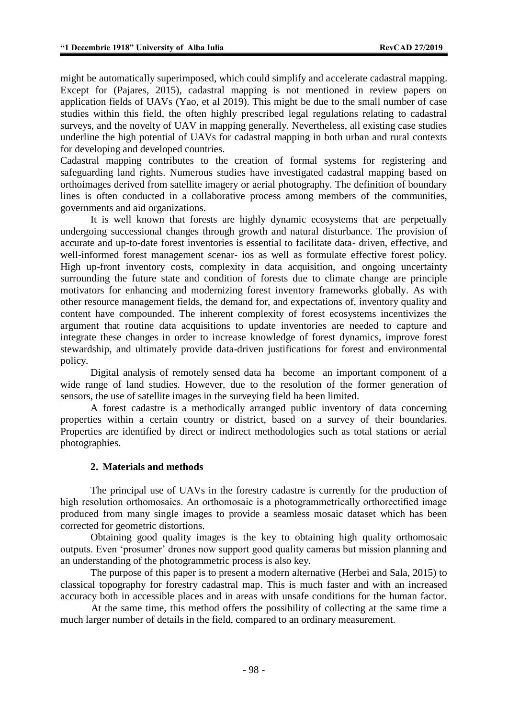might be automatically superimposed, which could simplify and accelerate cadastral mapping. Except for (Pajares, 2015), cadastral mapping is not mentioned in review papers on application fields of UAVs (Yao, et al 2019). This might be due to the small number of case studies within this field, the often highly prescribed legal regulations relating to cadastral surveys, and the novelty of UAV in mapping generally. Nevertheless, all existing case studies underline the high potential of UAVs for cadastral mapping in both urban and rural contexts for developing and developed countries.

Cadastral mapping contributes to the creation of formal systems for registering and safeguarding land rights. Numerous studies have investigated cadastral mapping based on orthoimages derived from satellite imagery or aerial photography. The definition of boundary lines is often conducted in a collaborative process among members of the communities, governments and aid organizations.

It is well known that forests are highly dynamic ecosystems that are perpetually undergoing successional changes through growth and natural disturbance. The provision of accurate and up-to-date forest inventories is essential to facilitate data- driven, effective, and well-informed forest management scenar- ios as well as formulate effective forest policy. High up-front inventory costs, complexity in data acquisition, and ongoing uncertainty surrounding the future state and condition of forests due to climate change are principle motivators for enhancing and modernizing forest inventory frameworks globally. As with other resource management fields, the demand for, and expectations of, inventory quality and content have compounded. The inherent complexity of forest ecosystems incentivizes the argument that routine data acquisitions to update inventories are needed to capture and integrate these changes in order to increase knowledge of forest dynamics, improve forest stewardship, and ultimately provide data-driven justifications for forest and environmental policy.

Digital analysis of remotely sensed data ha become an important component of a wide range of land studies. However, due to the resolution of the former generation of sensors, the use of satellite images in the surveying field ha been limited.

A forest cadastre is a methodically arranged public inventory of data concerning properties within a certain country or district, based on a survey of their boundaries. Properties are identified by direct or indirect methodologies such as total stations or aerial photographies.

## **2. Materials and methods**

The principal use of UAVs in the forestry cadastre is currently for the production of high resolution orthomosaics. An orthomosaic is a photogrammetrically orthorectified image produced from many single images to provide a seamless mosaic dataset which has been corrected for geometric distortions.

Obtaining good quality images is the key to obtaining high quality orthomosaic outputs. Even "prosumer" drones now support good quality cameras but mission planning and an understanding of the photogrammetric process is also key.

The purpose of this paper is to present a modern alternative (Herbei and Sala, 2015) to classical topography for forestry cadastral map. This is much faster and with an increased accuracy both in accessible places and in areas with unsafe conditions for the human factor.

At the same time, this method offers the possibility of collecting at the same time a much larger number of details in the field, compared to an ordinary measurement.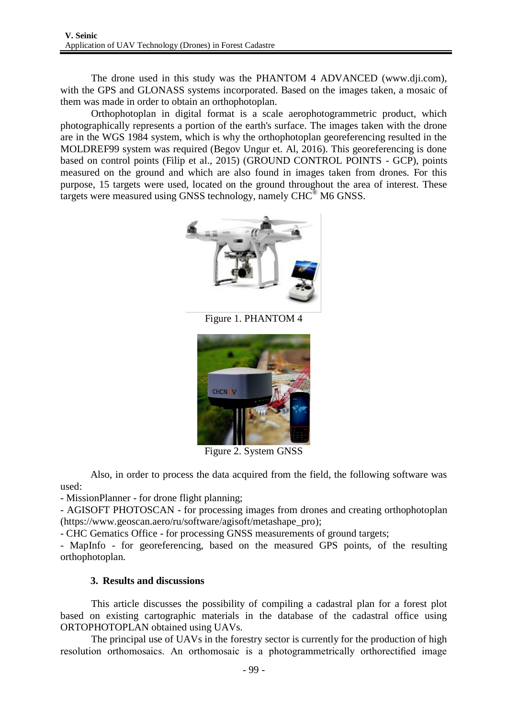The drone used in this study was the PHANTOM 4 ADVANCED (www.dji.com), with the GPS and GLONASS systems incorporated. Based on the images taken, a mosaic of them was made in order to obtain an orthophotoplan.

Orthophotoplan in digital format is a scale aerophotogrammetric product, which photographically represents a portion of the earth's surface. The images taken with the drone are in the WGS 1984 system, which is why the orthophotoplan georeferencing resulted in the MOLDREF99 system was required (Begov Ungur et. Al, 2016). This georeferencing is done based on control points (Filip et al., 2015) (GROUND CONTROL POINTS - GCP), points measured on the ground and which are also found in images taken from drones. For this purpose, 15 targets were used, located on the ground throughout the area of interest. These targets were measured using GNSS technology, namely CHC® M6 GNSS.



Figure 1. PHANTOM 4



Figure 2. System GNSS

Also, in order to process the data acquired from the field, the following software was used:

- MissionPlanner - for drone flight planning;

- AGISOFT PHOTOSCAN - for processing images from drones and creating orthophotoplan (https://www.geoscan.aero/ru/software/agisoft/metashape\_pro);

- CHC Gematics Office - for processing GNSS measurements of ground targets;

- MapInfo - for georeferencing, based on the measured GPS points, of the resulting orthophotoplan.

# **3. Results and discussions**

This article discusses the possibility of compiling a cadastral plan for a forest plot based on existing cartographic materials in the database of the cadastral office using ORTOPHOTOPLAN obtained using UAVs.

The principal use of UAVs in the forestry sector is currently for the production of high resolution orthomosaics. An orthomosaic is a photogrammetrically orthorectified image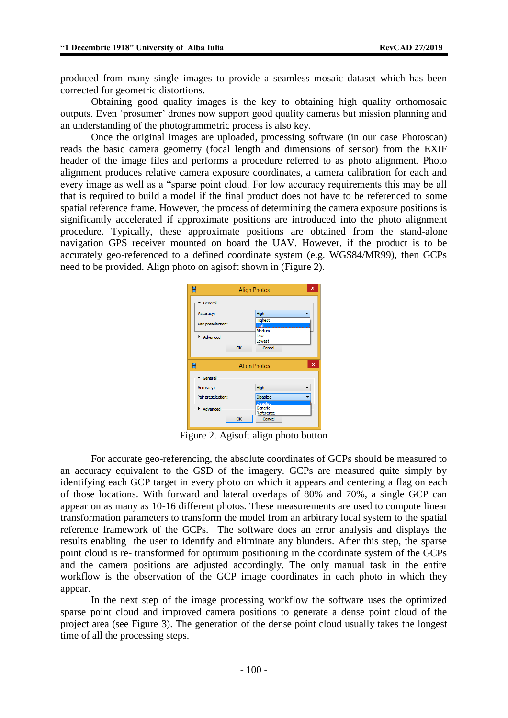produced from many single images to provide a seamless mosaic dataset which has been corrected for geometric distortions.

Obtaining good quality images is the key to obtaining high quality orthomosaic outputs. Even "prosumer" drones now support good quality cameras but mission planning and an understanding of the photogrammetric process is also key.

Once the original images are uploaded, processing software (in our case Photoscan) reads the basic camera geometry (focal length and dimensions of sensor) from the EXIF header of the image files and performs a procedure referred to as photo alignment. Photo alignment produces relative camera exposure coordinates, a camera calibration for each and every image as well as a "sparse point cloud. For low accuracy requirements this may be all that is required to build a model if the final product does not have to be referenced to some spatial reference frame. However, the process of determining the camera exposure positions is significantly accelerated if approximate positions are introduced into the photo alignment procedure. Typically, these approximate positions are obtained from the stand-alone navigation GPS receiver mounted on board the UAV. However, if the product is to be accurately geo-referenced to a defined coordinate system (e.g. WGS84/MR99), then GCPs need to be provided. Align photo on agisoft shown in (Figure 2).

|                                                                               | <b>Align Photos</b>                                                                | x                         |
|-------------------------------------------------------------------------------|------------------------------------------------------------------------------------|---------------------------|
| General<br>Accuracy:<br>Pair preselection:<br>$\blacktriangleright$ Advanced  | High<br><b>Highest</b><br>High<br>Medium<br>Low<br>Lowest<br>Cancel<br>OK          |                           |
| H                                                                             | <b>Align Photos</b>                                                                | $\boldsymbol{\mathsf{x}}$ |
| General<br>Accuracy:<br>Pair preselection:<br>$ \blacktriangleright$ Advanced | High<br><b>Disabled</b><br><b>Disabled</b><br>Generic<br>Reference<br>Cancel<br>OK |                           |

Figure 2. Agisoft align photo button

For accurate geo-referencing, the absolute coordinates of GCPs should be measured to an accuracy equivalent to the GSD of the imagery. GCPs are measured quite simply by identifying each GCP target in every photo on which it appears and centering a flag on each of those locations. With forward and lateral overlaps of 80% and 70%, a single GCP can appear on as many as 10-16 different photos. These measurements are used to compute linear transformation parameters to transform the model from an arbitrary local system to the spatial reference framework of the GCPs. The software does an error analysis and displays the results enabling the user to identify and eliminate any blunders. After this step, the sparse point cloud is re- transformed for optimum positioning in the coordinate system of the GCPs and the camera positions are adjusted accordingly. The only manual task in the entire workflow is the observation of the GCP image coordinates in each photo in which they appear.

In the next step of the image processing workflow the software uses the optimized sparse point cloud and improved camera positions to generate a dense point cloud of the project area (see Figure 3). The generation of the dense point cloud usually takes the longest time of all the processing steps.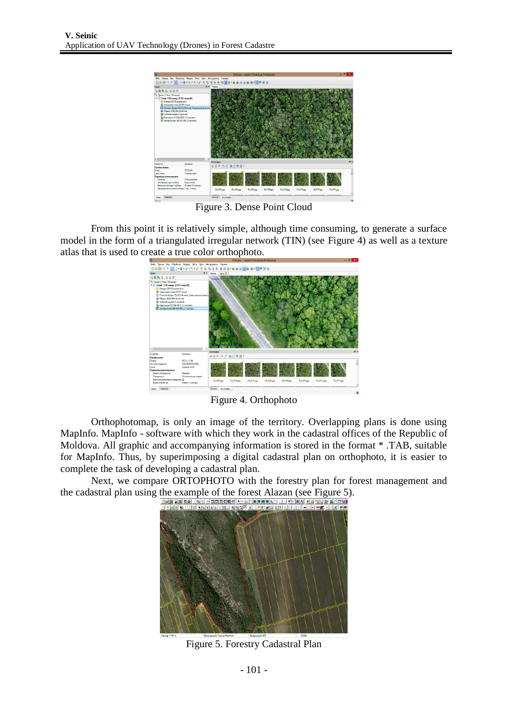

Figure 3. Dense Point Cloud

From this point it is relatively simple, although time consuming, to generate a surface model in the form of a triangulated irregular network (TIN) (see Figure 4) as well as a texture atlas that is used to create a true color orthophoto.



Figure 4. Orthophoto

Orthophotomap, is only an image of the territory. Overlapping plans is done using MapInfo. MapInfo - software with which they work in the cadastral offices of the Republic of Moldova. All graphic and accompanying information is stored in the format \* .TAB, suitable for MapInfo. Thus, by superimposing a digital cadastral plan on orthophoto, it is easier to complete the task of developing a cadastral plan.

Next, we compare ORTOPHOTO with the forestry plan for forest management and the cadastral plan using the example of the forest Alazan (see Figure 5).<br> **DESTRIBED AND PROPERTY ALAZAN (SEE FIGURE 5)**.



Figure 5. Forestry Cadastral Plan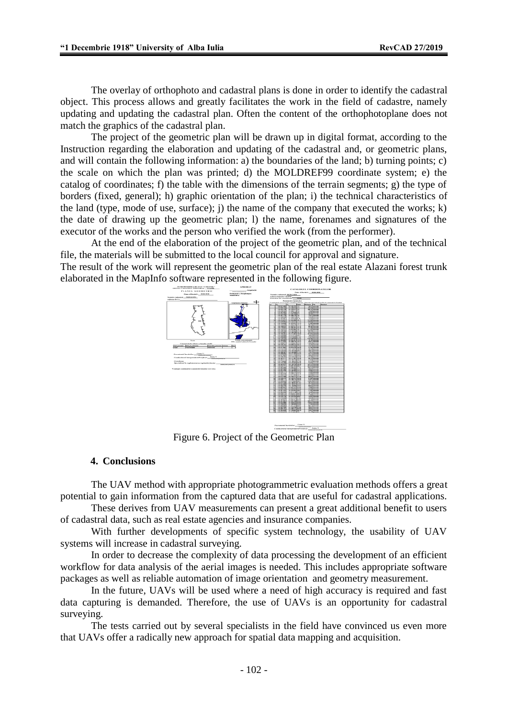The overlay of orthophoto and cadastral plans is done in order to identify the cadastral object. This process allows and greatly facilitates the work in the field of cadastre, namely updating and updating the cadastral plan. Often the content of the orthophotoplane does not match the graphics of the cadastral plan.

The project of the geometric plan will be drawn up in digital format, according to the Instruction regarding the elaboration and updating of the cadastral and, or geometric plans, and will contain the following information: a) the boundaries of the land; b) turning points; c) the scale on which the plan was printed; d) the MOLDREF99 coordinate system; e) the catalog of coordinates; f) the table with the dimensions of the terrain segments; g) the type of borders (fixed, general); h) graphic orientation of the plan; i) the technical characteristics of the land (type, mode of use, surface); j) the name of the company that executed the works; k) the date of drawing up the geometric plan; l) the name, forenames and signatures of the executor of the works and the person who verified the work (from the performer).

At the end of the elaboration of the project of the geometric plan, and of the technical file, the materials will be submitted to the local council for approval and signature.

The result of the work will represent the geometric plan of the real estate Alazani forest trunk elaborated in the MapInfo software represented in the following figure.



Figure 6. Project of the Geometric Plan

#### **4. Conclusions**

The UAV method with appropriate photogrammetric evaluation methods offers a great potential to gain information from the captured data that are useful for cadastral applications.

These derives from UAV measurements can present a great additional benefit to users of cadastral data, such as real estate agencies and insurance companies.

With further developments of specific system technology, the usability of UAV systems will increase in cadastral surveying.

In order to decrease the complexity of data processing the development of an efficient workflow for data analysis of the aerial images is needed. This includes appropriate software packages as well as reliable automation of image orientation and geometry measurement.

In the future, UAVs will be used where a need of high accuracy is required and fast data capturing is demanded. Therefore, the use of UAVs is an opportunity for cadastral surveying.

The tests carried out by several specialists in the field have convinced us even more that UAVs offer a radically new approach for spatial data mapping and acquisition.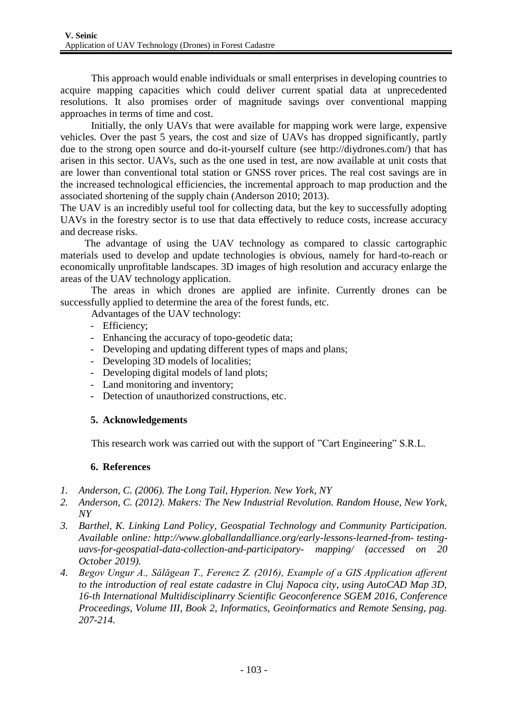This approach would enable individuals or small enterprises in developing countries to acquire mapping capacities which could deliver current spatial data at unprecedented resolutions. It also promises order of magnitude savings over conventional mapping approaches in terms of time and cost.

Initially, the only UAVs that were available for mapping work were large, expensive vehicles. Over the past 5 years, the cost and size of UAVs has dropped significantly, partly due to the strong open source and do-it-yourself culture (see http://diydrones.com/) that has arisen in this sector. UAVs, such as the one used in test, are now available at unit costs that are lower than conventional total station or GNSS rover prices. The real cost savings are in the increased technological efficiencies, the incremental approach to map production and the associated shortening of the supply chain (Anderson 2010; 2013).

The UAV is an incredibly useful tool for collecting data, but the key to successfully adopting UAVs in the forestry sector is to use that data effectively to reduce costs, increase accuracy and decrease risks.

The advantage of using the UAV technology as compared to classic cartographic materials used to develop and update technologies is obvious, namely for hard-to-reach or economically unprofitable landscapes. 3D images of high resolution and accuracy enlarge the areas of the UAV technology application.

The areas in which drones are applied are infinite. Currently drones can be successfully applied to determine the area of the forest funds, etc.

Advantages of the UAV technology:

- Efficiency;
- Enhancing the accuracy of topo-geodetic data;
- Developing and updating different types of maps and plans;
- Developing 3D models of localities;
- Developing digital models of land plots;
- Land monitoring and inventory;
- Detection of unauthorized constructions, etc.

# **5. Acknowledgements**

This research work was carried out with the support of "Cart Engineering" S.R.L.

## **6. References**

- *1. Anderson, C. (2006). The Long Tail, Hyperion. New York, NY*
- *2. Anderson, C. (2012). Makers: The New Industrial Revolution. Random House, New York, NY*
- *3. Barthel, K. Linking Land Policy, Geospatial Technology and Community Participation. Available online: [http://www.globallandalliance.org/early-lessons-learned-from-](http://www.globallandalliance.org/early-lessons-learned-from-testing-uavs-for-geospatial-data-collection-and-participatory-mapping/) [testing](http://www.globallandalliance.org/early-lessons-learned-from-testing-uavs-for-geospatial-data-collection-and-participatory-mapping/)uavs-for-geospatial-data-collection-and-participatory- [mapping/ \(](http://www.globallandalliance.org/early-lessons-learned-from-testing-uavs-for-geospatial-data-collection-and-participatory-mapping/)accessed on 20 October 2019).*
- *4. Begov Ungur A., Sălăgean T., Ferencz Z. (2016), Example of a GIS Application afferent to the introduction of real estate cadastre in Cluj Napoca city, using AutoCAD Map 3D, 16-th International Multidisciplinarry Scientific Geoconference SGEM 2016, Conference Proceedings, Volume III, Book 2, Informatics, Geoinformatics and Remote Sensing, pag. 207-214.*